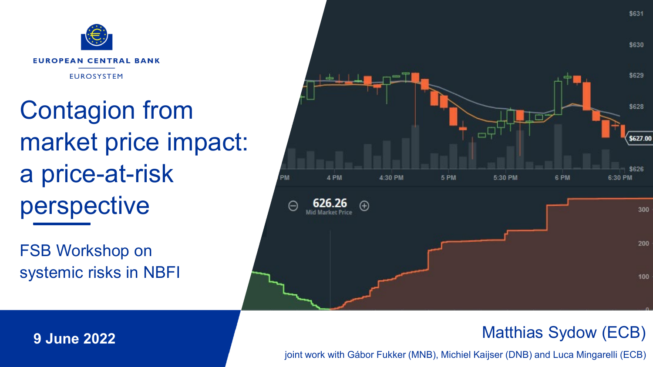

Contagion from market price impact: a price-at-risk perspective

FSB Workshop on systemic risks in NBFI



#### Matthias Sydow (ECB)

S631

ww.ecb.europa.eu joint work with Gábor Fukker (MNB), Michiel Kaijser (DNB) and Luca Mingarelli (ECB)

**9 June 2022**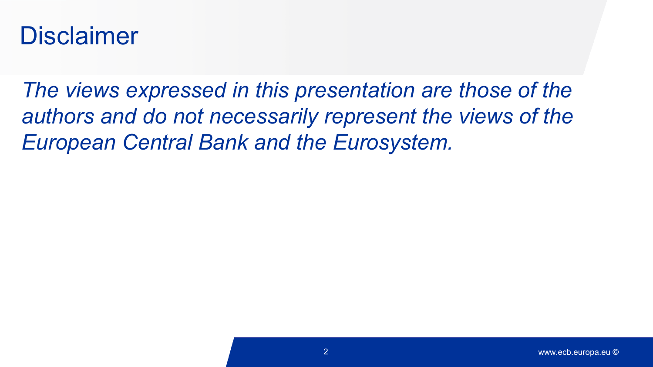#### Disclaimer

*The views expressed in this presentation are those of the authors and do not necessarily represent the views of the European Central Bank and the Eurosystem.*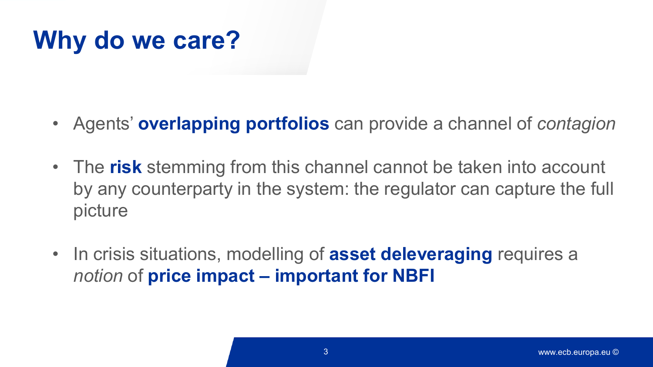# **Why do we care?**

- Agents' **overlapping portfolios** can provide a channel of *contagion*
- The **risk** stemming from this channel cannot be taken into account by any counterparty in the system: the regulator can capture the full picture
- In crisis situations, modelling of **asset deleveraging** requires a *notion* of **price impact – important for NBFI**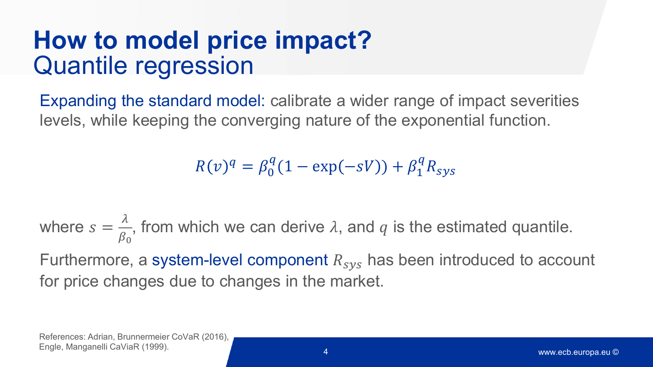### **How to model price impact?**  Quantile regression

Expanding the standard model: calibrate a wider range of impact severities levels, while keeping the converging nature of the exponential function.

 $R(v)^q = \beta_0^q (1 - \exp(-sV)) + \beta_1^q R_{sys}$ 

where  $s = \frac{\lambda}{\beta_c}$  $\beta_0$ , from which we can derive  $\lambda$ , and  $q$  is the estimated quantile. Furthermore, a system-level component  $R_{sys}$  has been introduced to account for price changes due to changes in the market.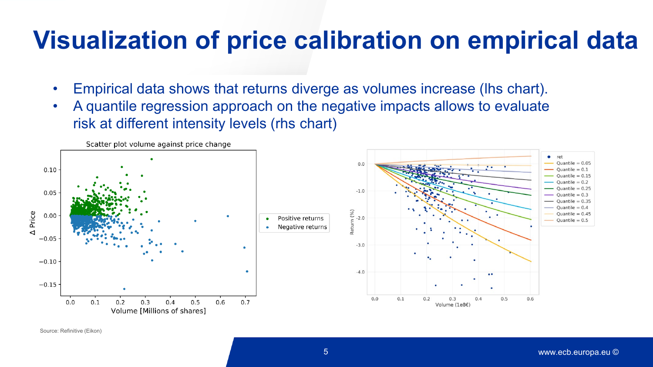#### **Visualization of price calibration on empirical data**

- Empirical data shows that returns diverge as volumes increase (lhs chart).
- A quantile regression approach on the negative impacts allows to evaluate risk at different intensity levels (rhs chart)



Source: Refinitive (Eikon)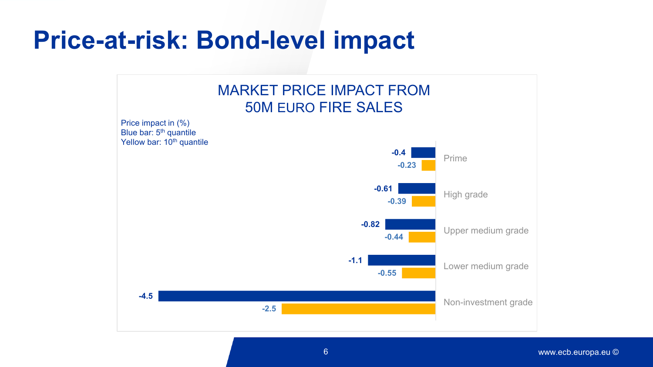#### **Price-at-risk: Bond-level impact**

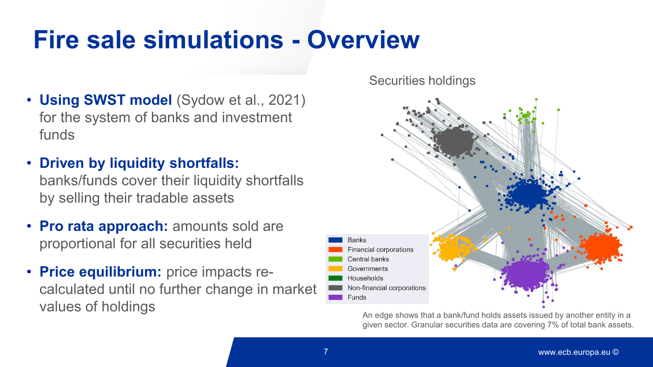### **Fire sale simulations - Overview**

- **Using SWST model** (Sydow et al., 2021) for the system of banks and investment funds
- **Driven by liquidity shortfalls:**  banks/funds cover their liquidity shortfalls by selling their tradable assets
- **Pro rata approach:** amounts sold are proportional for all securities held
- **Price equilibrium:** price impacts recalculated until no further change in market values of holdings

Securities holdings



An edge shows that a bank/fund holds assets issued by another entity in a given sector. Granular securities data are covering 7% of total bank assets.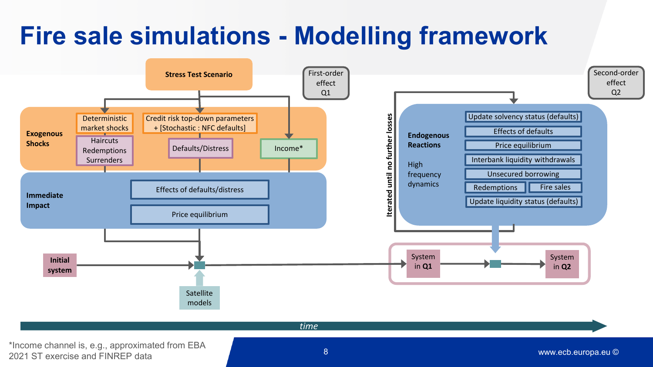# **Fire sale simulations - Modelling framework**



\*Income channel is, e.g., approximated from EBA 2021 ST exercise and FINREP data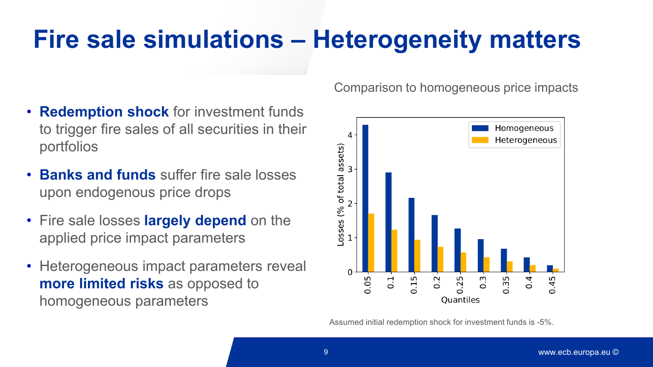# **Fire sale simulations – Heterogeneity matters**

- **Redemption shock** for investment funds to trigger fire sales of all securities in their portfolios
- **Banks and funds** suffer fire sale losses upon endogenous price drops
- Fire sale losses **largely depend** on the applied price impact parameters
- Heterogeneous impact parameters reveal **more limited risks** as opposed to homogeneous parameters

Comparison to homogeneous price impacts



Assumed initial redemption shock for investment funds is -5%.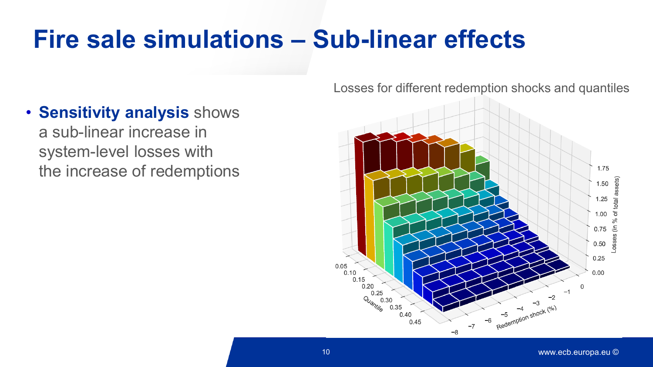# **Fire sale simulations – Sub-linear effects**

• **Sensitivity analysis** shows a sub-linear increase in

system-level losses with the increase of redemptions Losses for different redemption shocks and quantiles

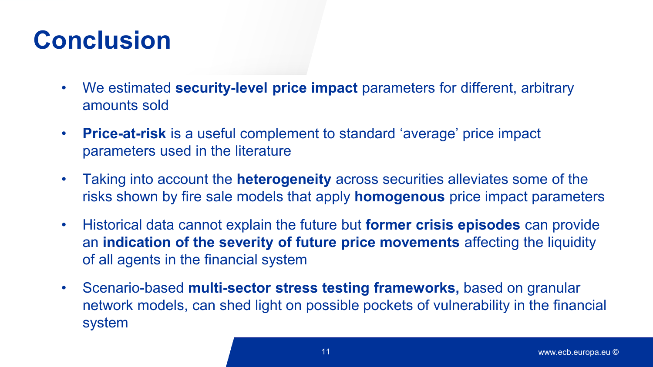## **Conclusion**

- We estimated **security-level price impact** parameters for different, arbitrary amounts sold
- **Price-at-risk** is a useful complement to standard 'average' price impact parameters used in the literature
- Taking into account the **heterogeneity** across securities alleviates some of the risks shown by fire sale models that apply **homogenous** price impact parameters
- Historical data cannot explain the future but **former crisis episodes** can provide an **indication of the severity of future price movements** affecting the liquidity of all agents in the financial system
- Scenario-based **multi-sector stress testing frameworks,** based on granular network models, can shed light on possible pockets of vulnerability in the financial system